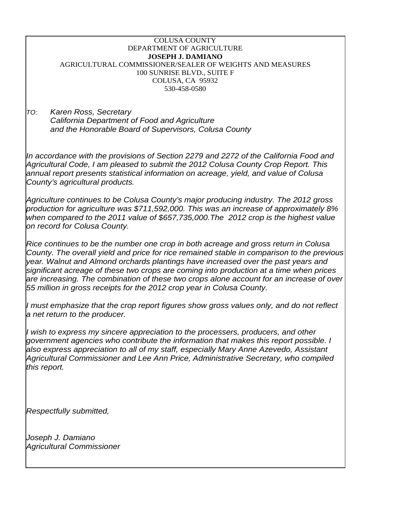| <b>COLUSA COUNTY</b>                                                                                                                                                                                                                                                                                                                                                                                                                                                                                                                   |
|----------------------------------------------------------------------------------------------------------------------------------------------------------------------------------------------------------------------------------------------------------------------------------------------------------------------------------------------------------------------------------------------------------------------------------------------------------------------------------------------------------------------------------------|
| DEPARTMENT OF AGRICULTURE                                                                                                                                                                                                                                                                                                                                                                                                                                                                                                              |
| <b>JOSEPH J. DAMIANO</b>                                                                                                                                                                                                                                                                                                                                                                                                                                                                                                               |
| AGRICULTURAL COMMISSIONER/SEALER OF WEIGHTS AND MEASURES                                                                                                                                                                                                                                                                                                                                                                                                                                                                               |
| 100 SUNRISE BLVD., SUITE F                                                                                                                                                                                                                                                                                                                                                                                                                                                                                                             |
| COLUSA, CA 95932                                                                                                                                                                                                                                                                                                                                                                                                                                                                                                                       |
| 530-458-0580                                                                                                                                                                                                                                                                                                                                                                                                                                                                                                                           |
| Karen Ross, Secretary<br>TO:<br>California Department of Food and Agriculture                                                                                                                                                                                                                                                                                                                                                                                                                                                          |
| and the Honorable Board of Supervisors, Colusa County                                                                                                                                                                                                                                                                                                                                                                                                                                                                                  |
| In accordance with the provisions of Section 2279 and 2272 of the California Food and<br>Agricultural Code, I am pleased to submit the 2012 Colusa County Crop Report. This<br>annual report presents statistical information on acreage, yield, and value of Colusa<br>County's agricultural products.                                                                                                                                                                                                                                |
| Agriculture continues to be Colusa County's major producing industry. The 2012 gross<br>production for agriculture was \$711,592,000. This was an increase of approximately 8%<br>when compared to the 2011 value of \$657,735,000. The 2012 crop is the highest value<br>on record for Colusa County.                                                                                                                                                                                                                                 |
| Rice continues to be the number one crop in both acreage and gross return in Colusa<br>County. The overall yield and price for rice remained stable in comparison to the previous<br>year. Walnut and Almond orchards plantings have increased over the past years and<br>significant acreage of these two crops are coming into production at a time when prices<br>are increasing. The combination of these two crops alone account for an increase of over<br>55 million in gross receipts for the 2012 crop year in Colusa County. |
| I must emphasize that the crop report figures show gross values only, and do not reflect<br>a net return to the producer.                                                                                                                                                                                                                                                                                                                                                                                                              |
| I wish to express my sincere appreciation to the processers, producers, and other<br>government agencies who contribute the information that makes this report possible. I<br>also express appreciation to all of my staff, especially Mary Anne Azevedo, Assistant<br>Agricultural Commissioner and Lee Ann Price, Administrative Secretary, who compiled<br>this report.                                                                                                                                                             |
| Respectfully submitted,                                                                                                                                                                                                                                                                                                                                                                                                                                                                                                                |
| Joseph J. Damiano                                                                                                                                                                                                                                                                                                                                                                                                                                                                                                                      |
| <b>Agricultural Commissioner</b>                                                                                                                                                                                                                                                                                                                                                                                                                                                                                                       |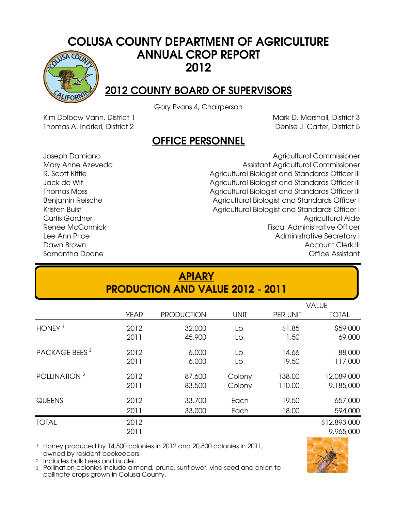#### COLUSA COUNTY DEPARTMENT OF AGRICULTURE ANNUAL CROP REPORT  $5ACO<sub>l</sub>$ 2012



Gary Evans 4, Chairperson

Kim Dolbow Vann, District 1 Thomas A. Indrieri, District 2 Mark D. Marshall, District 3 Denise J. Carter, District 5

#### OFFICE PERSONNEL

Benjamin Reische Kristen Buist Samantha Doane Thomas Moss Renee McCormick Lee Ann Price Dawn Brown Joseph Damiano Mary Anne Azevedo R. Scott Kittle Jack de Wit

Curtis Gardner Agricultural Aide Agricultural Biologist and Standards Officer III Fiscal Administrative Officer Administrative Secretary I Account Clerk III Office Assistant Agricultural Biologist and Standards Officer I Agricultural Commissioner Assistant Agricultural Commissioner Agricultural Biologist and Standards Officer III Agricultural Biologist and Standards Officer III Agricultural Biologist and Standards Officer I

| <b>APIARY</b><br><b>PRODUCTION AND VALUE 2012 - 2011</b> |              |                   |             |          |                           |  |  |  |  |  |
|----------------------------------------------------------|--------------|-------------------|-------------|----------|---------------------------|--|--|--|--|--|
|                                                          |              |                   |             |          | <b>VALUE</b>              |  |  |  |  |  |
|                                                          | <b>YEAR</b>  | <b>PRODUCTION</b> | <b>UNIT</b> | PER UNIT | <b>TOTAL</b>              |  |  |  |  |  |
| HONEY <sup>1</sup>                                       | 2012         | 32,000            | Lb.         | \$1.85   | \$59,000                  |  |  |  |  |  |
|                                                          | 2011         | 45,900            | Lb.         | 1.50     | 69,000                    |  |  |  |  |  |
| PACKAGE BEES <sup>2</sup>                                | 2012         | 6,000             | Lb.         | 14.66    | 88,000                    |  |  |  |  |  |
|                                                          | 2011         | 6,000             | Lb.         | 19.50    | 117,000                   |  |  |  |  |  |
| POLLINATION <sup>3</sup>                                 | 2012         | 87,600            | Colony      | 138.00   | 12,089,000                |  |  |  |  |  |
|                                                          | 2011         | 83,500            | Colony      | 110.00   | 9,185,000                 |  |  |  |  |  |
| QUEENS                                                   | 2012         | 33,700            | Each        | 19.50    | 657,000                   |  |  |  |  |  |
|                                                          | 2011         | 33,000            | Each        | 18.00    | 594,000                   |  |  |  |  |  |
| <b>TOTAL</b>                                             | 2012<br>2011 |                   |             |          | \$12,893,000<br>9,965,000 |  |  |  |  |  |

1 Honey produced by 14,500 colonies in 2012 and 20,800 colonies in 2011, owned by resident beekeepers.

2 Includes bulk bees and nuclei.

3 Pollination colonies include almond, prune, sunflower, vine seed and onion to pollinate crops grown in Colusa County.

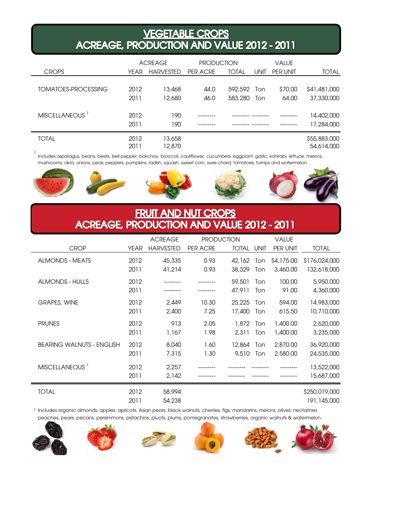#### VEGETABLE CROPS<br>ACREAGE, PRODUCTION AND VALUE 2012 - 2011

|                            |      | <b>ACREAGE</b>   | <b>PRODUCTION</b> |              |             | VALUE    |              |
|----------------------------|------|------------------|-------------------|--------------|-------------|----------|--------------|
| <b>CROPS</b>               | YEAR | <b>HARVESTED</b> | PER ACRE          | <b>TOTAL</b> | <b>UNIT</b> | PER UNIT | <b>TOTAL</b> |
|                            |      |                  |                   |              |             |          |              |
| TOMATOES-PROCESSING        | 2012 | 13,468           | 44.0              | 592,592      | Ton         | \$70.00  | \$41,481,000 |
|                            | 2011 | 12,680           | 46.0              | 583,280      | Ton         | 64.00    | 37,330,000   |
|                            |      |                  |                   |              |             |          |              |
| MISCELLANEOUS <sup>1</sup> | 2012 | 190              |                   |              |             |          | 14,402,000   |
|                            | 2011 | 190              |                   |              |             |          | 17,284,000   |
| <b>TOTAL</b>               | 2012 | 13,658           |                   |              |             |          | \$55,883,000 |
|                            | 2011 | 12,870           |                   |              |             |          | 54,614,000   |

1<br>Includes asparagus, beans, beets, bell pepper, bokchoy, broccoli, cauliflower, cucumbers, eggplant, garlic, kohlrabi, lettuce, melons, mushrooms, okra, onions, peas, peppers, pumpkins, radish, squash, sweet corn, swiss chard, tomatoes, turnips and watermelon.



#### FRUIT AND NUT CROPS<br>ACREAGE, PRODUCTION AND VALUE 2012 - 2011

|                                  |              | <b>ACREAGE</b>   |               | <b>PRODUCTION</b> |             | <b>VALUE</b>           |                              |
|----------------------------------|--------------|------------------|---------------|-------------------|-------------|------------------------|------------------------------|
| <b>CROP</b>                      | <b>YEAR</b>  | <b>HARVESTED</b> | PER ACRE      | <b>TOTAL</b>      | UNIT        | PER UNIT               | <b>TOTAL</b>                 |
| <b>ALMONDS - MEATS</b>           | 2012<br>2011 | 45,335<br>41,214 | 0.93<br>0.93  | 42,162<br>38,329  | Ton.<br>Ton | \$4,175.00<br>3,460,00 | \$176,024,000<br>132,618,000 |
| <b>ALMONDS - HULLS</b>           | 2012<br>2011 |                  |               | 59,501<br>47.911  | Ton<br>Ton  | 100.00<br>91.00        | 5,950,000<br>4,360,000       |
| <b>GRAPES, WINE</b>              | 2012<br>2011 | 2,449<br>2,400   | 10.30<br>7.25 | 25,225<br>17,400  | Ton<br>Ton  | 594.00<br>615.50       | 14,983,000<br>10,710,000     |
| <b>PRUNES</b>                    | 2012<br>2011 | 913<br>1,167     | 2.05<br>1.98  | 1,872<br>2,311    | Ton<br>Ton  | 1,400.00<br>1,400.00   | 2,620,000<br>3,235,000       |
| <b>BEARING WALNUTS - ENGLISH</b> | 2012<br>2011 | 8,040<br>7,315   | 1.60<br>1.30  | 12,864<br>9,510   | Ton<br>Ton  | 2,870.00<br>2,580.00   | 36,920,000<br>24,535,000     |
| MISCELLANEOUS <sup>1</sup>       | 2012<br>2011 | 2,257<br>2,142   |               |                   |             |                        | 13,522,000<br>15,687,000     |
| <b>TOTAL</b>                     | 2012<br>2011 | 58,994<br>54,238 |               |                   |             |                        | \$250,019,000<br>191,145,000 |

1 Includes organic almonds, apples, apricots, Asian pears, black walnuts, cherries, figs, mandarins, melons, olives, nectarines peaches, pears, pecans, persimmons, pistachios, pluots, plums, pomegranates, strawberries, organic walnuts & watermelon.

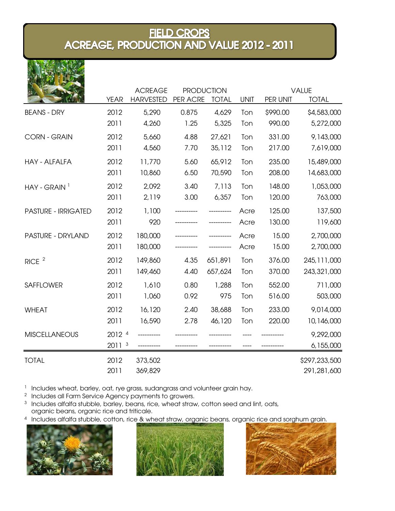### FIELD CROPS<br>ACREAGE, PRODUCTION AND VALUE 2012 - 2011

|                            |                   | <b>ACREAGE</b>   |          | <b>PRODUCTION</b> |             |          | <b>VALUE</b>  |
|----------------------------|-------------------|------------------|----------|-------------------|-------------|----------|---------------|
|                            | <b>YEAR</b>       | <b>HARVESTED</b> | PER ACRE | <b>TOTAL</b>      | <b>UNIT</b> | PER UNIT | <b>TOTAL</b>  |
| <b>BEANS - DRY</b>         | 2012              | 5,290            | 0.875    | 4,629             | Ton         | \$990.00 | \$4,583,000   |
|                            | 2011              | 4,260            | 1.25     | 5,325             | Ton         | 990.00   | 5,272,000     |
| <b>CORN - GRAIN</b>        | 2012              | 5,660            | 4.88     | 27,621            | Ton         | 331.00   | 9,143,000     |
|                            | 2011              | 4,560            | 7.70     | 35,112            | Ton         | 217.00   | 7,619,000     |
| <b>HAY - ALFALFA</b>       | 2012              | 11,770           | 5.60     | 65,912            | Ton         | 235.00   | 15,489,000    |
|                            | 2011              | 10,860           | 6.50     | 70,590            | Ton         | 208.00   | 14,683,000    |
| $HAY - GRAIN$ <sup>1</sup> | 2012              | 2,092            | 3.40     | 7,113             | Ton         | 148.00   | 1,053,000     |
|                            | 2011              | 2,119            | 3.00     | 6,357             | Ton         | 120.00   | 763,000       |
| <b>PASTURE - IRRIGATED</b> | 2012              | 1,100            |          |                   | Acre        | 125.00   | 137,500       |
|                            | 2011              | 920              |          |                   | Acre        | 130.00   | 119,600       |
| <b>PASTURE - DRYLAND</b>   | 2012              | 180,000          |          |                   | Acre        | 15.00    | 2,700,000     |
|                            | 2011              | 180,000          |          |                   | Acre        | 15.00    | 2,700,000     |
| RICE <sup>2</sup>          | 2012              | 149,860          | 4.35     | 651,891           | Ton         | 376.00   | 245, 111, 000 |
|                            | 2011              | 149,460          | 4.40     | 657,624           | Ton         | 370.00   | 243,321,000   |
| <b>SAFFLOWER</b>           | 2012              | 1,610            | 0.80     | 1,288             | Ton         | 552.00   | 711,000       |
|                            | 2011              | 1,060            | 0.92     | 975               | Ton         | 516.00   | 503,000       |
| <b>WHEAT</b>               | 2012              | 16,120           | 2.40     | 38,688            | Ton         | 233.00   | 9,014,000     |
|                            | 2011              | 16,590           | 2.78     | 46,120            | Ton         | 220.00   | 10,146,000    |
| <b>MISCELLANEOUS</b>       | 2012 4            |                  |          |                   |             |          | 9,292,000     |
|                            | 2011 <sup>3</sup> |                  |          |                   |             |          | 6,155,000     |
| <b>TOTAL</b>               | 2012              | 373,502          |          |                   |             |          | \$297,233,500 |
|                            | 2011              | 369,829          |          |                   |             |          | 291,281,600   |

1 Includes wheat, barley, oat, rye grass, sudangrass and volunteer grain hay.

<sup>2</sup> Includes all Farm Service Agency payments to growers.

 $^3$  Includes alfalfa stubble, barley, beans, rice, wheat straw, cotton seed and lint, oats, organic beans, organic rice and triticale.

<sup>4</sup> Includes alfalfa stubble, cotton, rice & wheat straw, organic beans, organic rice and sorghum grain.



**大西 人神 22** 



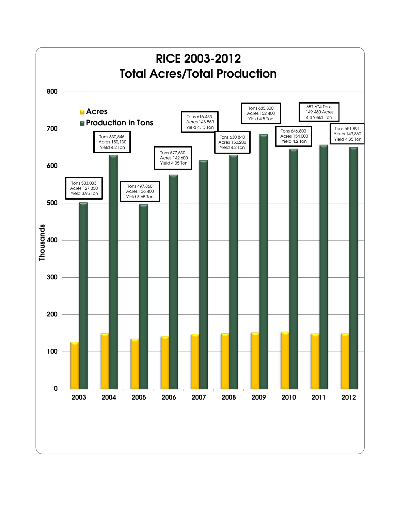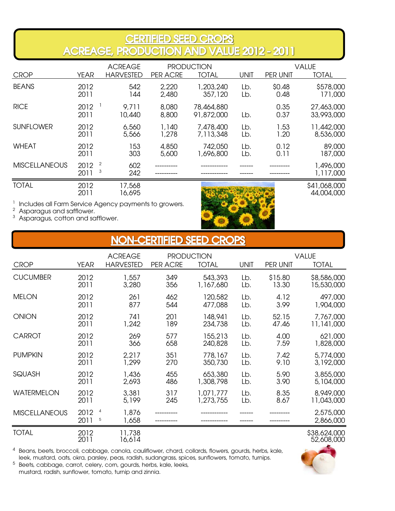### CERTIFIED SEED CROPS<br>ACREAGE, PRODUCTION AND VALUE 2012 - 2011

|                      |                                     | <b>ACREAGE</b>   |                | <b>PRODUCTION</b>        |             |                | <b>VALUE</b>               |
|----------------------|-------------------------------------|------------------|----------------|--------------------------|-------------|----------------|----------------------------|
| <b>CROP</b>          | YEAR                                | <b>HARVESTED</b> | PER ACRE       | <b>TOTAL</b>             | <b>UNIT</b> | PER UNIT       | <b>TOTAL</b>               |
| <b>BEANS</b>         | 2012<br>2011                        | 542<br> 44       | 2,220<br>2,480 | 1,203,240<br>357,120     | Lb.<br>Lb.  | \$0.48<br>0.48 | \$578,000<br>171,000       |
| <b>RICE</b>          | 2012<br>2011                        | 9.711<br>10,440  | 8,080<br>8,800 | 78,464,880<br>91,872,000 | Lb.         | 0.35<br>0.37   | 27,463,000<br>33,993,000   |
| <b>SUNFLOWER</b>     | 2012<br>2011                        | 6,560<br>5,566   | 1,140<br>1,278 | 7,478,400<br>7,113,348   | Lb.<br>Lb.  | 1.53<br>1.20   | 11,442,000<br>8,536,000    |
| <b>WHEAT</b>         | 2012<br>2011                        | 153<br>303       | 4,850<br>5,600 | 742,050<br>1,696,800     | Lb.<br>Lb.  | 0.12<br>0.11   | 89,000<br>187,000          |
| <b>MISCELLANEOUS</b> | $\overline{c}$<br>2012<br>3<br>2011 | 602<br>242       |                |                          |             |                | 1,496,000<br>1,117,000     |
| <b>TOTAL</b>         | 2012<br>2011                        | 17,568<br>16,695 |                |                          |             |                | \$41,068,000<br>44,004,000 |

<sup>1</sup> Includes all Farm Service Agency payments to growers.

2  $^2$  Asparagus and safflower.<br> $^3$  Asparagus cotton and sc

Asparagus, cotton and safflower.



|  | NON-CERTIFIED SEED CROPS |  |
|--|--------------------------|--|
|--|--------------------------|--|

|                      |                                     | <b>ACREAGE</b>   |                 | <b>PRODUCTION</b> |             |          | <b>VALUE</b>               |
|----------------------|-------------------------------------|------------------|-----------------|-------------------|-------------|----------|----------------------------|
| <b>CROP</b>          | YEAR                                | <b>HARVESTED</b> | <b>PER ACRE</b> | <b>TOTAL</b>      | <b>UNIT</b> | PER UNIT | <b>TOTAL</b>               |
| <b>CUCUMBER</b>      | 2012                                | 1,557            | 349             | 543,393           | Lb.         | \$15.80  | \$8,586,000                |
|                      | 2011                                | 3,280            | 356             | 1,167,680         | Lb.         | 13.30    | 15,530,000                 |
| <b>MELON</b>         | 2012                                | 261              | 462             | 120,582           | Lb.         | 4.12     | 497,000                    |
|                      | 2011                                | 877              | 544             | 477,088           | Lb.         | 3.99     | 1,904,000                  |
| <b>ONION</b>         | 2012                                | 741              | 201             | 148,941           | Lb.         | 52.15    | 7,767,000                  |
|                      | 2011                                | 1,242            | 189             | 234,738           | Lb.         | 47.46    | 11,141,000                 |
| <b>CARROT</b>        | 2012                                | 269              | 577             | 155,213           | Lb.         | 4.00     | 621,000                    |
|                      | 2011                                | 366              | 658             | 240,828           | Lb.         | 7.59     | 1,828,000                  |
| <b>PUMPKIN</b>       | 2012                                | 2,217            | 351             | 778,167           | Lb.         | 7.42     | 5,774,000                  |
|                      | 2011                                | 1,299            | 270             | 350,730           | Lb.         | 9.10     | 3,192,000                  |
| SQUASH               | 2012                                | 1,436            | 455             | 653,380           | Lb.         | 5.90     | 3,855,000                  |
|                      | 2011                                | 2,693            | 486             | 1,308,798         | Lb.         | 3.90     | 5,104,000                  |
| <b>WATERMELON</b>    | 2012                                | 3,381            | 317             | 1,071,777         | Lb.         | 8.35     | 8,949,000                  |
|                      | 2011                                | 5,199            | 245             | 1,273,755         | Lb.         | 8.67     | 11,043,000                 |
| <b>MISCELLANEOUS</b> | $\overline{a}$<br>2012<br>5<br>2011 | 1,876<br>1,658   |                 |                   |             |          | 2,575,000<br>2,866,000     |
| <b>TOTAL</b>         | 2012<br>2011                        | 11,738<br>16.614 |                 |                   |             |          | \$38,624,000<br>52,608,000 |

 $^4\,$  Beans, beets, broccoli, cabbage, canola, cauliflower, chard, collards, flowers, gourds, herbs, kale, leek, mustard, oats, okra, parsley, peas, radish, sudangrass, spices, sunflowers, tomato, turnips.

 $5$  Beets, cabbage, carrot, celery, corn, gourds, herbs, kale, leeks, mustard, radish, sunflower, tomato, turnip and zinnia.

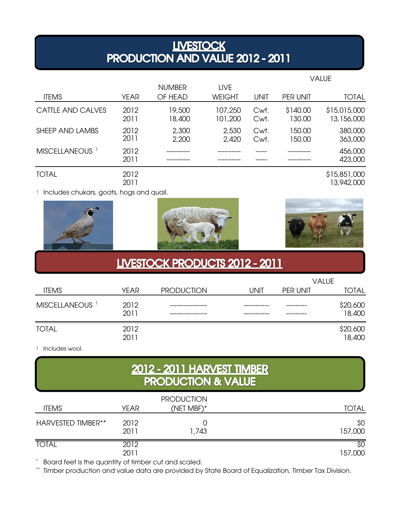## **LIVESTOCK<br>PRODUCTION AND VALUE 2012 - 2011**

|                            |              |                          |                              |              |                    | VALUE                      |
|----------------------------|--------------|--------------------------|------------------------------|--------------|--------------------|----------------------------|
| <b>ITEMS</b>               | <b>YEAR</b>  | <b>NUMBER</b><br>OF HEAD | <b>LIVE</b><br><b>WEIGHT</b> | <b>UNIT</b>  | PER UNIT           | <b>TOTAL</b>               |
| CATTLE AND CALVES          | 2012<br>2011 | 19,500<br>18,400         | 107,250<br>101,200           | Cwt.<br>Cwt. | \$140.00<br>130.00 | \$15,015,000<br>13,156,000 |
| SHEEP AND LAMBS            | 2012<br>2011 | 2,300<br>2,200           | 2,530<br>2,420               | Cwt.<br>Cwt. | 150.00<br>150.00   | 380,000<br>363,000         |
| MISCELLANEOUS <sup>1</sup> | 2012<br>2011 |                          |                              |              |                    | 456,000<br>423,000         |
| <b>TOTAL</b>               | 2012<br>2011 |                          |                              |              |                    | \$15,851,000<br>13,942,000 |

<sup>1</sup> Includes chukars, goats, hogs and quail.







#### **LIVESTOCK PRODUCTS 2012 - 2011**

|                            |              |                   |      |          | <b>VALUE</b>       |
|----------------------------|--------------|-------------------|------|----------|--------------------|
| <b>ITEMS</b>               | <b>YEAR</b>  | <b>PRODUCTION</b> | UNIT | PER UNIT | <b>TOTAL</b>       |
| MISCELLANEOUS <sup>1</sup> | 2012<br>2011 |                   |      |          | \$20,600<br>18,400 |
| <b>TOTAL</b>               | 2012<br>2011 |                   |      |          | \$20,600<br>18,400 |

1 Includes wool.

# 2012 - 2011 HARVEST TIMBER<br>PRODUCTION & VALUE

| <b>ITEMS</b>       | <b>YEAR</b>  | <b>PRODUCTION</b><br>(NET MBF)* | <b>TOTAL</b>   |
|--------------------|--------------|---------------------------------|----------------|
| HARVESTED TIMBER** | 2012<br>2011 | 1,743                           | \$0<br>157,000 |
| <b>TOTAL</b>       | 2012<br>2011 |                                 | \$0<br>157,000 |

\* Board feet is the quantity of timber cut and scaled.

\*\* Timber production and value data are provided by State Board of Equalization, Timber Tax Division.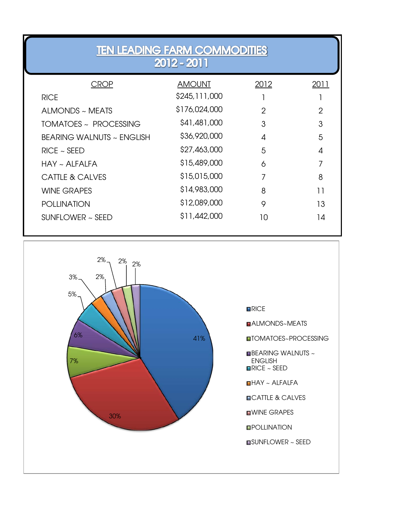| <b>TEN LEADING FARM COMMODITIES</b><br>2012 - 2011 |               |                |                |  |  |  |  |  |  |  |
|----------------------------------------------------|---------------|----------------|----------------|--|--|--|--|--|--|--|
| <b>CROP</b>                                        | <b>AMOUNT</b> | 2012           | 2011           |  |  |  |  |  |  |  |
| <b>RICE</b>                                        | \$245,111,000 |                |                |  |  |  |  |  |  |  |
| ALMONDS ~ MEATS                                    | \$176,024,000 | $\mathfrak{D}$ | $\mathfrak{D}$ |  |  |  |  |  |  |  |
| TOMATOES ~ PROCESSING                              | \$41,481,000  | 3              | 3              |  |  |  |  |  |  |  |
| <b>BEARING WALNUTS ~ ENGLISH</b>                   | \$36,920,000  | 4              | 5              |  |  |  |  |  |  |  |
| $RICE \sim SEED$                                   | \$27,463,000  | 5              | 4              |  |  |  |  |  |  |  |
| $HAY \sim ALFALFA$                                 | \$15,489,000  | 6              | 7              |  |  |  |  |  |  |  |
| <b>CATTLE &amp; CALVES</b>                         | \$15,015,000  |                | 8              |  |  |  |  |  |  |  |
| <b>WINE GRAPES</b>                                 | \$14,983,000  | 8              | 11             |  |  |  |  |  |  |  |
| <b>POLLINATION</b>                                 | \$12,089,000  | 9              | 13             |  |  |  |  |  |  |  |
| SUNFLOWER $\sim$ SEED                              | \$11,442,000  | 10             | 14             |  |  |  |  |  |  |  |



**RICE** 

RICE ~ SEED

HAY ~ ALFALFA

**DICATTLE & CALVES** 

**NWINE GRAPES** 

**OPOLLINATION** 

SUNFLOWER ~ SEED